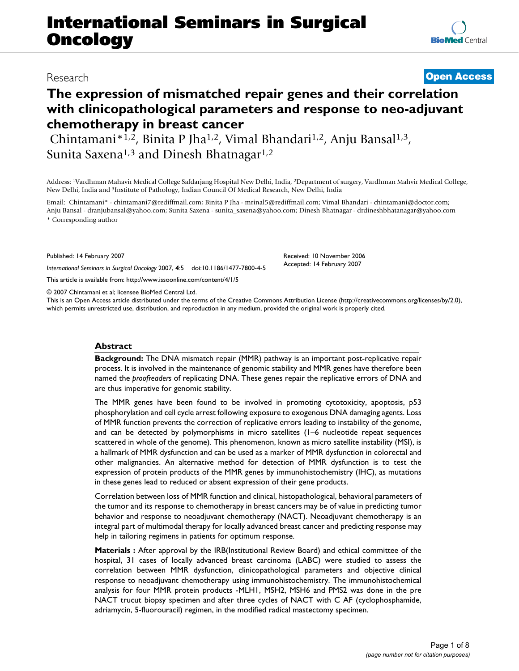# **International Seminars in Surgical Oncology**

# **The expression of mismatched repair genes and their correlation with clinicopathological parameters and response to neo-adjuvant chemotherapy in breast cancer**

Chintamani\*<sup>1,2</sup>, Binita P Jha<sup>1,2</sup>, Vimal Bhandari<sup>1,2</sup>, Anju Bansal<sup>1,3</sup>, Sunita Saxena<sup>1,3</sup> and Dinesh Bhatnagar<sup>1,2</sup>

Address: 1Vardhman Mahavir Medical College Safdarjang Hospital New Delhi, India, 2Department of surgery, Vardhman Mahvir Medical College, New Delhi, India and 3Institute of Pathology, Indian Council Of Medical Research, New Delhi, India

Email: Chintamani\* - chintamani7@rediffmail.com; Binita P Jha - mrinal5@rediffmail.com; Vimal Bhandari - chintamani@doctor.com; Anju Bansal - dranjubansal@yahoo.com; Sunita Saxena - sunita\_saxena@yahoo.com; Dinesh Bhatnagar - drdineshbhatanagar@yahoo.com \* Corresponding author

Published: 14 February 2007

*International Seminars in Surgical Oncology* 2007, **4**:5 doi:10.1186/1477-7800-4-5

[This article is available from: http://www.issoonline.com/content/4/1/5](http://www.issoonline.com/content/4/1/5)

© 2007 Chintamani et al; licensee BioMed Central Ltd.

This is an Open Access article distributed under the terms of the Creative Commons Attribution License [\(http://creativecommons.org/licenses/by/2.0\)](http://creativecommons.org/licenses/by/2.0), which permits unrestricted use, distribution, and reproduction in any medium, provided the original work is properly cited.

# **Abstract**

**Background:** The DNA mismatch repair (MMR) pathway is an important post-replicative repair process. It is involved in the maintenance of genomic stability and MMR genes have therefore been named the *proofreaders* of replicating DNA. These genes repair the replicative errors of DNA and are thus imperative for genomic stability.

The MMR genes have been found to be involved in promoting cytotoxicity, apoptosis, p53 phosphorylation and cell cycle arrest following exposure to exogenous DNA damaging agents. Loss of MMR function prevents the correction of replicative errors leading to instability of the genome, and can be detected by polymorphisms in micro satellites (1–6 nucleotide repeat sequences scattered in whole of the genome). This phenomenon, known as micro satellite instability (MSI), is a hallmark of MMR dysfunction and can be used as a marker of MMR dysfunction in colorectal and other malignancies. An alternative method for detection of MMR dysfunction is to test the expression of protein products of the MMR genes by immunohistochemistry (IHC), as mutations in these genes lead to reduced or absent expression of their gene products.

Correlation between loss of MMR function and clinical, histopathological, behavioral parameters of the tumor and its response to chemotherapy in breast cancers may be of value in predicting tumor behavior and response to neoadjuvant chemotherapy (NACT). Neoadjuvant chemotherapy is an integral part of multimodal therapy for locally advanced breast cancer and predicting response may help in tailoring regimens in patients for optimum response.

**Materials :** After approval by the IRB(Institutional Review Board) and ethical committee of the hospital, 31 cases of locally advanced breast carcinoma (LABC) were studied to assess the correlation between MMR dysfunction, clinicopathological parameters and objective clinical response to neoadjuvant chemotherapy using immunohistochemistry. The immunohistochemical analysis for four MMR protein products -MLH1, MSH2, MSH6 and PMS2 was done in the pre NACT trucut biopsy specimen and after three cycles of NACT with C AF (cyclophosphamide, adriamycin, 5-fluorouracil) regimen, in the modified radical mastectomy specimen.

# Research **[Open Access](http://www.biomedcentral.com/info/about/charter/)**

Received: 10 November 2006 Accepted: 14 February 2007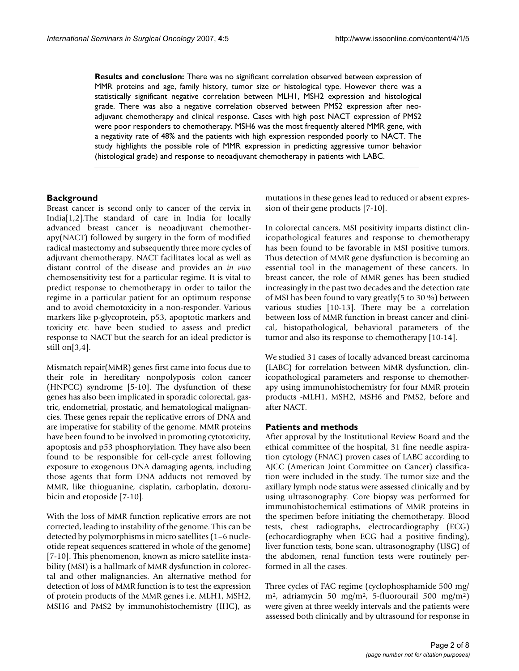**Results and conclusion:** There was no significant correlation observed between expression of MMR proteins and age, family history, tumor size or histological type. However there was a statistically significant negative correlation between MLH1, MSH2 expression and histological grade. There was also a negative correlation observed between PMS2 expression after neoadjuvant chemotherapy and clinical response. Cases with high post NACT expression of PMS2 were poor responders to chemotherapy. MSH6 was the most frequently altered MMR gene, with a negativity rate of 48% and the patients with high expression responded poorly to NACT. The study highlights the possible role of MMR expression in predicting aggressive tumor behavior (histological grade) and response to neoadjuvant chemotherapy in patients with LABC.

# **Background**

Breast cancer is second only to cancer of the cervix in India[1,2].The standard of care in India for locally advanced breast cancer is neoadjuvant chemotherapy(NACT) followed by surgery in the form of modified radical mastectomy and subsequently three more cycles of adjuvant chemotherapy. NACT facilitates local as well as distant control of the disease and provides an *in vivo* chemosensitivity test for a particular regime. It is vital to predict response to chemotherapy in order to tailor the regime in a particular patient for an optimum response and to avoid chemotoxicity in a non-responder. Various markers like p-glycoprotein, p53, apoptotic markers and toxicity etc. have been studied to assess and predict response to NACT but the search for an ideal predictor is still on[3,4].

Mismatch repair(MMR) genes first came into focus due to their role in hereditary nonpolyposis colon cancer (HNPCC) syndrome [5-10]. The dysfunction of these genes has also been implicated in sporadic colorectal, gastric, endometrial, prostatic, and hematological malignancies. These genes repair the replicative errors of DNA and are imperative for stability of the genome. MMR proteins have been found to be involved in promoting cytotoxicity, apoptosis and p53 phosphorylation. They have also been found to be responsible for cell-cycle arrest following exposure to exogenous DNA damaging agents, including those agents that form DNA adducts not removed by MMR, like thioguanine, cisplatin, carboplatin, doxorubicin and etoposide [7-10].

With the loss of MMR function replicative errors are not corrected, leading to instability of the genome. This can be detected by polymorphisms in micro satellites (1–6 nucleotide repeat sequences scattered in whole of the genome) [7-10]. This phenomenon, known as micro satellite instability (MSI) is a hallmark of MMR dysfunction in colorectal and other malignancies. An alternative method for detection of loss of MMR function is to test the expression of protein products of the MMR genes i.e. MLH1, MSH2, MSH6 and PMS2 by immunohistochemistry (IHC), as mutations in these genes lead to reduced or absent expression of their gene products [7-10].

In colorectal cancers, MSI positivity imparts distinct clinicopathological features and response to chemotherapy has been found to be favorable in MSI positive tumors. Thus detection of MMR gene dysfunction is becoming an essential tool in the management of these cancers. In breast cancer, the role of MMR genes has been studied increasingly in the past two decades and the detection rate of MSI has been found to vary greatly(5 to 30 %) between various studies [10-13]. There may be a correlation between loss of MMR function in breast cancer and clinical, histopathological, behavioral parameters of the tumor and also its response to chemotherapy [10-14].

We studied 31 cases of locally advanced breast carcinoma (LABC) for correlation between MMR dysfunction, clinicopathological parameters and response to chemotherapy using immunohistochemistry for four MMR protein products -MLH1, MSH2, MSH6 and PMS2, before and after NACT.

# **Patients and methods**

After approval by the Institutional Review Board and the ethical committee of the hospital, 31 fine needle aspiration cytology (FNAC) proven cases of LABC according to AJCC (American Joint Committee on Cancer) classification were included in the study. The tumor size and the axillary lymph node status were assessed clinically and by using ultrasonography. Core biopsy was performed for immunohistochemical estimations of MMR proteins in the specimen before initiating the chemotherapy. Blood tests, chest radiographs, electrocardiography (ECG) (echocardiography when ECG had a positive finding), liver function tests, bone scan, ultrasonography (USG) of the abdomen, renal function tests were routinely performed in all the cases.

Three cycles of FAC regime (cyclophosphamide 500 mg/ m2, adriamycin 50 mg/m2, 5-fluorourail 500 mg/m2) were given at three weekly intervals and the patients were assessed both clinically and by ultrasound for response in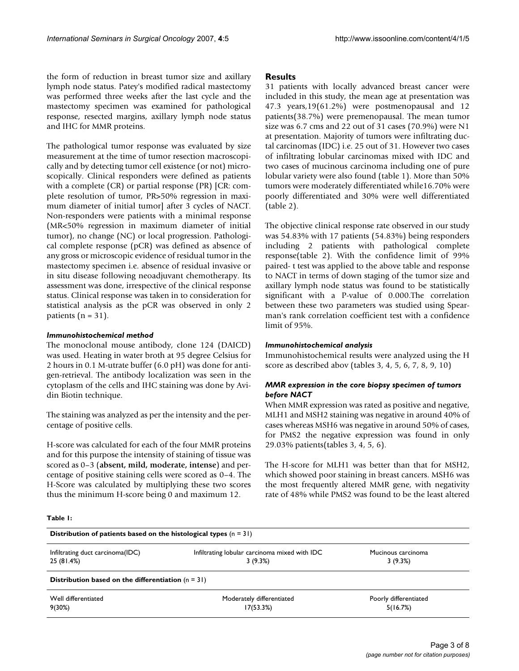the form of reduction in breast tumor size and axillary lymph node status. Patey's modified radical mastectomy was performed three weeks after the last cycle and the mastectomy specimen was examined for pathological response, resected margins, axillary lymph node status and IHC for MMR proteins.

The pathological tumor response was evaluated by size measurement at the time of tumor resection macroscopically and by detecting tumor cell existence (or not) microscopically. Clinical responders were defined as patients with a complete (CR) or partial response (PR) [CR: complete resolution of tumor, PR>50% regression in maximum diameter of initial tumor] after 3 cycles of NACT. Non-responders were patients with a minimal response (MR<50% regression in maximum diameter of initial tumor), no change (NC) or local progression. Pathological complete response (pCR) was defined as absence of any gross or microscopic evidence of residual tumor in the mastectomy specimen i.e. absence of residual invasive or in situ disease following neoadjuvant chemotherapy. Its assessment was done, irrespective of the clinical response status. Clinical response was taken in to consideration for statistical analysis as the pCR was observed in only 2 patients ( $n = 31$ ).

# *Immunohistochemical method*

The monoclonal mouse antibody, clone 124 (DAICD) was used. Heating in water broth at 95 degree Celsius for 2 hours in 0.1 M-utrate buffer (6.0 pH) was done for antigen-retrieval. The antibody localization was seen in the cytoplasm of the cells and IHC staining was done by Avidin Biotin technique.

The staining was analyzed as per the intensity and the percentage of positive cells.

H-score was calculated for each of the four MMR proteins and for this purpose the intensity of staining of tissue was scored as 0–3 (**absent, mild, moderate, intense**) and percentage of positive staining cells were scored as 0–4. The H-Score was calculated by multiplying these two scores thus the minimum H-score being 0 and maximum 12.

# **Results**

31 patients with locally advanced breast cancer were included in this study, the mean age at presentation was 47.3 years,19(61.2%) were postmenopausal and 12 patients(38.7%) were premenopausal. The mean tumor size was 6.7 cms and 22 out of 31 cases (70.9%) were N1 at presentation. Majority of tumors were infiltrating ductal carcinomas (IDC) i.e. 25 out of 31. However two cases of infiltrating lobular carcinomas mixed with IDC and two cases of mucinous carcinoma including one of pure lobular variety were also found (table 1). More than 50% tumors were moderately differentiated while16.70% were poorly differentiated and 30% were well differentiated (table 2).

The objective clinical response rate observed in our study was 54.83% with 17 patients (54.83%) being responders including 2 patients with pathological complete response(table 2). With the confidence limit of 99% paired- t test was applied to the above table and response to NACT in terms of down staging of the tumor size and axillary lymph node status was found to be statistically significant with a P-value of 0.000.The correlation between these two parameters was studied using Spearman's rank correlation coefficient test with a confidence limit of 95%.

# *Immunohistochemical analysis*

Immunohistochemical results were analyzed using the H score as described abov (tables 3, 4, 5, 6, 7, 8, 9, 10)

# *MMR expression in the core biopsy specimen of tumors before NACT*

When MMR expression was rated as positive and negative, MLH1 and MSH2 staining was negative in around 40% of cases whereas MSH6 was negative in around 50% of cases, for PMS2 the negative expression was found in only 29.03% patients(tables 3, 4, 5, 6).

The H-score for MLH1 was better than that for MSH2, which showed poor staining in breast cancers. MSH6 was the most frequently altered MMR gene, with negativity rate of 48% while PMS2 was found to be the least altered

### **Table 1:**

| Distribution of patients based on the histological types $(n = 31)$ |                                               |                       |  |
|---------------------------------------------------------------------|-----------------------------------------------|-----------------------|--|
| Infiltrating duct carcinoma(IDC)                                    | Infiltrating lobular carcinoma mixed with IDC | Mucinous carcinoma    |  |
| 25 (81.4%)                                                          | 3(9.3%)                                       | 3(9.3%)               |  |
| Distribution based on the differentiation $(n = 31)$                |                                               |                       |  |
| Well differentiated                                                 | Moderately differentiated                     | Poorly differentiated |  |
| 9(30%)                                                              | 17(53.3%)                                     | 5(16.7%)              |  |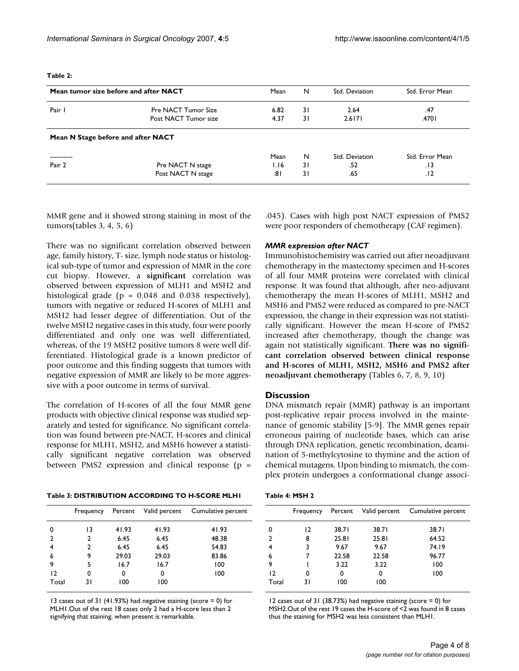#### **Table 2:**

|          | Mean tumor size before and after NACT | Mean | N              | Std. Deviation | Std. Error Mean |
|----------|---------------------------------------|------|----------------|----------------|-----------------|
| Pair I   | Pre NACT Tumor Size                   | 6.82 | 31             | 2.64           | .47             |
|          | Post NACT Tumor size                  | 4.37 | $\overline{3}$ | 2.6171         | .4701           |
|          | Mean N Stage before and after NACT    |      |                |                |                 |
| -------- |                                       | Mean | N              | Std. Deviation | Std. Error Mean |
| Pair 2   | Pre NACT N stage                      | I.I6 | 31             | .52            | 13.             |
|          | Post NACT N stage                     | 8۱.  | 31             | .65            | .12             |

MMR gene and it showed strong staining in most of the tumors(tables 3, 4, 5, 6)

There was no significant correlation observed between age, family history, T- size, lymph node status or histological sub-type of tumor and expression of MMR in the core cut biopsy. However, a **significant** correlation was observed between expression of MLH1 and MSH2 and histological grade ( $p = 0.048$  and 0.038 respectively), tumors with negative or reduced H-scores of MLH1 and MSH2 had lesser degree of differentiation. Out of the twelve MSH2 negative cases in this study, four were poorly differentiated and only one was well differentiated, whereas, of the 19 MSH2 positive tumors 8 were well differentiated. Histological grade is a known predictor of poor outcome and this finding suggests that tumors with negative expression of MMR are likely to be more aggressive with a poor outcome in terms of survival.

The correlation of H-scores of all the four MMR gene products with objective clinical response was studied separately and tested for significance. No significant correlation was found between pre-NACT, H-scores and clinical response for MLH1, MSH2, and MSH6 however a statistically significant negative correlation was observed between PMS2 expression and clinical response (p =

|--|

|              | Frequency |       | Percent Valid percent | Cumulative percent |
|--------------|-----------|-------|-----------------------|--------------------|
| 0            | 13        | 41.93 | 41.93                 | 41.93              |
| $\mathbf{2}$ | 2         | 6.45  | 6.45                  | 48.38              |
| 4            | 2         | 6.45  | 6.45                  | 54.83              |
| 6            | 9         | 29.03 | 29.03                 | 83.86              |
| 9            | 5         | 16.7  | 16.7                  | 100                |
| 12           | 0         | 0     | 0                     | 100                |
| Total        | 31        | 100   | 100                   |                    |

13 cases out of 31 (41.93%) had negative staining (score = 0) for MLH1.Out of the rest 18 cases only 2 had a H-score less than 2 signifying that staining, when present is remarkable.

.045). Cases with high post NACT expression of PMS2 were poor responders of chemotherapy (CAF regimen).

### *MMR expression after NACT*

Immunohistochemistry was carried out after neoadjuvant chemotherapy in the mastectomy specimen and H-scores of all four MMR proteins were correlated with clinical response. It was found that although, after neo-adjuvant chemotherapy the mean H-scores of MLH1, MSH2 and MSH6 and PMS2 were reduced as compared to pre-NACT expression, the change in their expression was not statistically significant. However the mean H-score of PMS2 increased after chemotherapy, though the change was again not statistically significant. **There was no significant correlation observed between clinical response and H-scores of MLH1, MSH2, MSH6 and PMS2 after neoadjuvant chemotherapy** (Tables 6, 7, 8, 9, 10)

### **Discussion**

DNA mismatch repair (MMR) pathway is an important post-replicative repair process involved in the maintenance of genomic stability [5-9]. The MMR genes repair erroneous pairing of nucleotide bases, which can arise through DNA replication, genetic recombination, deamination of 5-methylcytosine to thymine and the action of chemical mutagens. Upon binding to mismatch, the complex protein undergoes a conformational change associ-

|  | Table 4: MSH 2 |
|--|----------------|
|--|----------------|

|               | Frequency |       |       | Percent Valid percent Cumulative percent |
|---------------|-----------|-------|-------|------------------------------------------|
| 0             | 12        | 38.71 | 38.71 | 38.71                                    |
| $\mathcal{P}$ | 8         | 25.81 | 25.81 | 64.52                                    |
| 4             | 3         | 9.67  | 9.67  | 74.19                                    |
| 6             |           | 22.58 | 22.58 | 96.77                                    |
| 9             |           | 3.22  | 3.22  | 100                                      |
| 12            | 0         | 0     | 0     | 100                                      |
| Total         | 31        | 100   | 100   |                                          |

12 cases out of 31 (38.73%) had negative staining (score = 0) for MSH2.Out of the rest 19 cases the H-score of <2 was found in 8 cases thus the staining for MSH2 was less consistent than MLH1.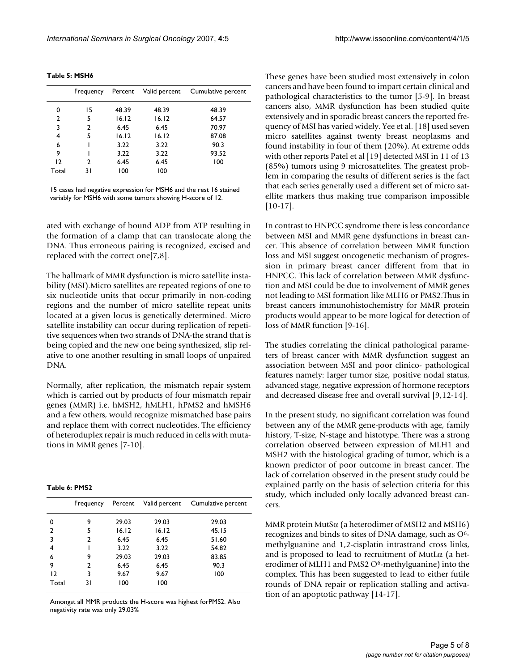|       | Frequency |       | Percent Valid percent | Cumulative percent |
|-------|-----------|-------|-----------------------|--------------------|
| 0     | 15        | 48.39 | 48.39                 | 48.39              |
| 2     | 5         | 16.12 | 16.12                 | 64.57              |
| 3     | 2         | 6.45  | 6.45                  | 70.97              |
| 4     | 5         | 16.12 | 16.12                 | 87.08              |
| 6     |           | 3.22  | 3.22                  | 90.3               |
| 9     |           | 3.22  | 3.22                  | 93.52              |
| 12    | 2         | 6.45  | 6.45                  | 100                |
| Total | 31        | 100   | 100                   |                    |
|       |           |       |                       |                    |

15 cases had negative expression for MSH6 and the rest 16 stained variably for MSH6 with some tumors showing H-score of 12.

ated with exchange of bound ADP from ATP resulting in the formation of a clamp that can translocate along the DNA. Thus erroneous pairing is recognized, excised and replaced with the correct one[7,8].

The hallmark of MMR dysfunction is micro satellite instability (MSI).Micro satellites are repeated regions of one to six nucleotide units that occur primarily in non-coding regions and the number of micro satellite repeat units located at a given locus is genetically determined. Micro satellite instability can occur during replication of repetitive sequences when two strands of DNA-the strand that is being copied and the new one being synthesized, slip relative to one another resulting in small loops of unpaired DNA.

Normally, after replication, the mismatch repair system which is carried out by products of four mismatch repair genes (MMR) i.e. hMSH2, hMLH1, hPMS2 and hMSH6 and a few others, would recognize mismatched base pairs and replace them with correct nucleotides. The efficiency of heteroduplex repair is much reduced in cells with mutations in MMR genes [7-10].

| Table 6: PMS2 |  |  |
|---------------|--|--|
|---------------|--|--|

|                | Frequency     |       | Percent Valid percent | Cumulative percent |
|----------------|---------------|-------|-----------------------|--------------------|
| 0              | 9             | 29.03 | 29.03                 | 29.03              |
| 2              | 5             | 16.12 | 16.12                 | 45.15              |
| 3              | $\mathcal{P}$ | 6.45  | 6.45                  | 51.60              |
| 4              |               | 3.22  | 3.22                  | 54.82              |
| 6              | 9             | 29.03 | 29.03                 | 83.85              |
| 9              | 2             | 6.45  | 6.45                  | 90.3               |
| $\overline{2}$ | 3             | 9.67  | 9.67                  | 100                |
| Total          | 31            | 100   | 100                   |                    |

Amongst all MMR products the H-score was highest forPMS2. Also negativity rate was only 29.03%

These genes have been studied most extensively in colon cancers and have been found to impart certain clinical and pathological characteristics to the tumor [5-9]. In breast cancers also, MMR dysfunction has been studied quite extensively and in sporadic breast cancers the reported frequency of MSI has varied widely. Yee et al. [18] used seven micro satellites against twenty breast neoplasms and found instability in four of them (20%). At extreme odds with other reports Patel et al [19] detected MSI in 11 of 13 (85%) tumors using 9 microsattelites. The greatest problem in comparing the results of different series is the fact that each series generally used a different set of micro satellite markers thus making true comparison impossible [10-17].

In contrast to HNPCC syndrome there is less concordance between MSI and MMR gene dysfunctions in breast cancer. This absence of correlation between MMR function loss and MSI suggest oncogenetic mechanism of progression in primary breast cancer different from that in HNPCC. This lack of correlation between MMR dysfunction and MSI could be due to involvement of MMR genes not leading to MSI formation like MLH6 or PMS2.Thus in breast cancers immunohistochemistry for MMR protein products would appear to be more logical for detection of loss of MMR function [9-16].

The studies correlating the clinical pathological parameters of breast cancer with MMR dysfunction suggest an association between MSI and poor clinico- pathological features namely: larger tumor size, positive nodal status, advanced stage, negative expression of hormone receptors and decreased disease free and overall survival [9,12-14].

In the present study, no significant correlation was found between any of the MMR gene-products with age, family history, T-size, N-stage and histotype. There was a strong correlation observed between expression of MLH1 and MSH2 with the histological grading of tumor, which is a known predictor of poor outcome in breast cancer. The lack of correlation observed in the present study could be explained partly on the basis of selection criteria for this study, which included only locally advanced breast cancers.

MMR protein MutS $\alpha$  (a heterodimer of MSH2 and MSH6) recognizes and binds to sites of DNA damage, such as O6 methylguanine and 1,2-cisplatin intrastrand cross links, and is proposed to lead to recruitment of MutL $\alpha$  (a heterodimer of MLH1 and PMS2 O<sup>6</sup>-methylguanine) into the complex. This has been suggested to lead to either futile rounds of DNA repair or replication stalling and activation of an apoptotic pathway [14-17].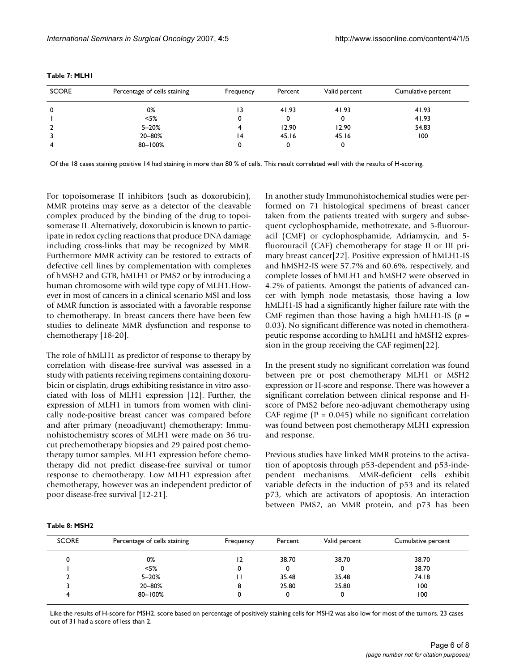| <b>SCORE</b>   | Percentage of cells staining | Frequency | Percent | Valid percent | Cumulative percent |
|----------------|------------------------------|-----------|---------|---------------|--------------------|
| 0              | 0%                           | ۱3        | 41.93   | 41.93         | 41.93              |
|                | $<$ 5%                       | 0         |         | 0             | 41.93              |
| $\overline{2}$ | $5 - 20%$                    |           | 12.90   | 12.90         | 54.83              |
|                | 20-80%                       | 14        | 45.16   | 45.16         | 100                |
| 4              | 80-100%                      | 0         | 0       | 0             |                    |

**Table 7: MLH1**

Of the 18 cases staining positive 14 had staining in more than 80 % of cells. This result correlated well with the results of H-scoring.

For topoisomerase II inhibitors (such as doxorubicin), MMR proteins may serve as a detector of the cleavable complex produced by the binding of the drug to topoisomerase II. Alternatively, doxorubicin is known to participate in redox cycling reactions that produce DNA damage including cross-links that may be recognized by MMR. Furthermore MMR activity can be restored to extracts of defective cell lines by complementation with complexes of hMSH2 and GTB, hMLH1 or PMS2 or by introducing a human chromosome with wild type copy of MLH1.However in most of cancers in a clinical scenario MSI and loss of MMR function is associated with a favorable response to chemotherapy. In breast cancers there have been few studies to delineate MMR dysfunction and response to chemotherapy [18-20].

The role of hMLH1 as predictor of response to therapy by correlation with disease-free survival was assessed in a study with patients receiving regimens containing doxorubicin or cisplatin, drugs exhibiting resistance in vitro associated with loss of MLH1 expression [12]. Further, the expression of MLH1 in tumors from women with clinically node-positive breast cancer was compared before and after primary (neoadjuvant) chemotherapy: Immunohistochemistry scores of MLH1 were made on 36 trucut prechemotherapy biopsies and 29 paired post chemotherapy tumor samples. MLH1 expression before chemotherapy did not predict disease-free survival or tumor response to chemotherapy. Low MLH1 expression after chemotherapy, however was an independent predictor of poor disease-free survival [12-21].

In another study Immunohistochemical studies were performed on 71 histological specimens of breast cancer taken from the patients treated with surgery and subsequent cyclophosphamide, methotrexate, and 5-fluorouracil (CMF) or cyclophosphamide, Adriamycin, and 5 fluorouracil (CAF) chemotherapy for stage II or III primary breast cancer[22]. Positive expression of hMLH1-IS and hMSH2-IS were 57.7% and 60.6%, respectively, and complete losses of hMLH1 and hMSH2 were observed in 4.2% of patients. Amongst the patients of advanced cancer with lymph node metastasis, those having a low hMLH1-IS had a significantly higher failure rate with the CMF regimen than those having a high hMLH1-IS (*p* = 0.03). No significant difference was noted in chemotherapeutic response according to hMLH1 and hMSH2 expression in the group receiving the CAF regimen[22].

In the present study no significant correlation was found between pre or post chemotherapy MLH1 or MSH2 expression or H-score and response. There was however a significant correlation between clinical response and Hscore of PMS2 before neo-adjuvant chemotherapy using CAF regime ( $P = 0.045$ ) while no significant correlation was found between post chemotherapy MLH1 expression and response.

Previous studies have linked MMR proteins to the activation of apoptosis through p53-dependent and p53-independent mechanisms. MMR-deficient cells exhibit variable defects in the induction of p53 and its related p73, which are activators of apoptosis. An interaction between PMS2, an MMR protein, and p73 has been

| <b>SCORE</b> | Percentage of cells staining | Frequency | Percent | Valid percent | Cumulative percent |
|--------------|------------------------------|-----------|---------|---------------|--------------------|
|              | 0%                           | ا 2       | 38.70   | 38.70         | 38.70              |
|              | $<$ 5%                       | 0         | 0       |               | 38.70              |
|              | $5 - 20%$                    |           | 35.48   | 35.48         | 74.18              |
|              | 20-80%                       | 8         | 25.80   | 25.80         | 100                |
|              | 80-100%                      |           | 0       |               | 100                |

Like the results of H-score for MSH2, score based on percentage of positively staining cells for MSH2 was also low for most of the tumors. 23 cases out of 31 had a score of less than 2.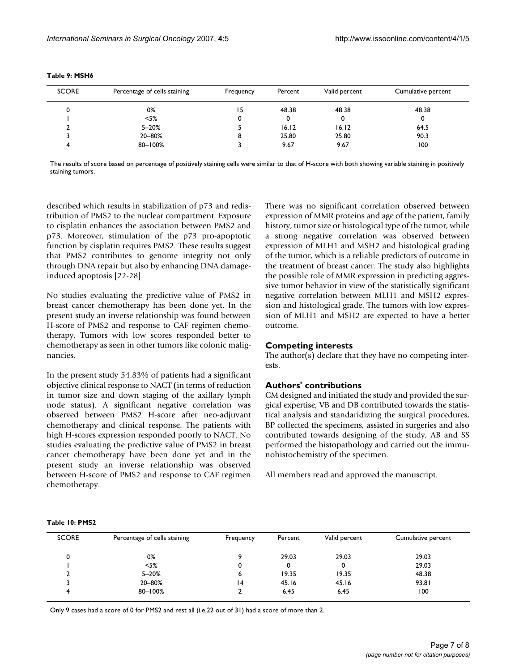| <b>SCORE</b> | Percentage of cells staining | Frequency | Percent | Valid percent | Cumulative percent |
|--------------|------------------------------|-----------|---------|---------------|--------------------|
|              | 0%                           | 15        | 48.38   | 48.38         | 48.38              |
|              | $<$ 5%                       |           |         |               | 0                  |
|              | $5 - 20%$                    |           | 16.12   | 16.12         | 64.5               |
|              | 20-80%                       |           | 25.80   | 25.80         | 90.3               |
|              | 80-100%                      |           | 9.67    | 9.67          | 100                |

#### **Table 9: MSH6**

The results of score based on percentage of positively staining cells were similar to that of H-score with both showing variable staining in positively staining tumors.

described which results in stabilization of p73 and redistribution of PMS2 to the nuclear compartment. Exposure to cisplatin enhances the association between PMS2 and p73. Moreover, stimulation of the p73 pro-apoptotic function by cisplatin requires PMS2. These results suggest that PMS2 contributes to genome integrity not only through DNA repair but also by enhancing DNA damageinduced apoptosis [22-28].

No studies evaluating the predictive value of PMS2 in breast cancer chemotherapy has been done yet. In the present study an inverse relationship was found between H-score of PMS2 and response to CAF regimen chemotherapy. Tumors with low scores responded better to chemotherapy as seen in other tumors like colonic malignancies.

In the present study 54.83% of patients had a significant objective clinical response to NACT (in terms of reduction in tumor size and down staging of the axillary lymph node status). A significant negative correlation was observed between PMS2 H-score after neo-adjuvant chemotherapy and clinical response. The patients with high H-scores expression responded poorly to NACT. No studies evaluating the predictive value of PMS2 in breast cancer chemotherapy have been done yet and in the present study an inverse relationship was observed between H-score of PMS2 and response to CAF regimen chemotherapy.

There was no significant correlation observed between expression of MMR proteins and age of the patient, family history, tumor size or histological type of the tumor, while a strong negative correlation was observed between expression of MLH1 and MSH2 and histological grading of the tumor, which is a reliable predictors of outcome in the treatment of breast cancer. The study also highlights the possible role of MMR expression in predicting aggressive tumor behavior in view of the statistically significant negative correlation between MLH1 and MSH2 expression and histological grade. The tumors with low expression of MLH1 and MSH2 are expected to have a better outcome.

### **Competing interests**

The author(s) declare that they have no competing interests.

## **Authors' contributions**

CM designed and initiated the study and provided the surgical expertise, VB and DB contributed towards the statistical analysis and standaridizing the surgical procedures, BP collected the specimens, assisted in surgeries and also contributed towards designing of the study, AB and SS performed the histopathology and carried out the immunohistochemistry of the specimen.

All members read and approved the manuscript.

#### **Table 10: PMS2**

| <b>SCORE</b> | Percentage of cells staining | Frequency | Percent | Valid percent | Cumulative percent |
|--------------|------------------------------|-----------|---------|---------------|--------------------|
|              | 0%                           |           | 29.03   | 29.03         | 29.03              |
|              | $<$ 5%                       |           |         |               | 29.03              |
|              | $5 - 20%$                    |           | 19.35   | 19.35         | 48.38              |
|              | 20-80%                       | 14        | 45.16   | 45.16         | 93.81              |
|              | 80-100%                      |           | 6.45    | 6.45          | 100                |

Only 9 cases had a score of 0 for PMS2 and rest all (i.e.22 out of 31) had a score of more than 2.